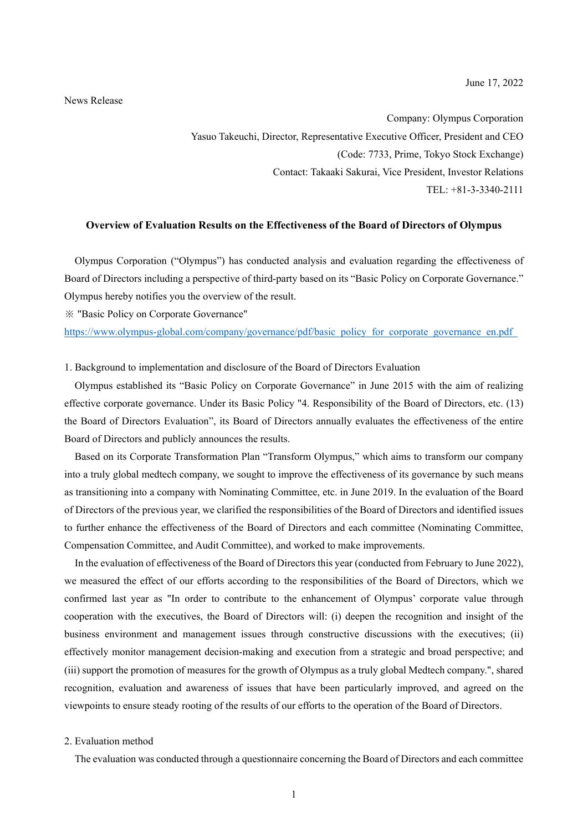#### News Release

Company: Olympus Corporation Yasuo Takeuchi, Director, Representative Executive Officer, President and CEO (Code: 7733, Prime, Tokyo Stock Exchange) Contact: Takaaki Sakurai, Vice President, Investor Relations TEL: +81-3-3340-2111

# **Overview of Evaluation Results on the Effectiveness of the Board of Directors of Olympus**

Olympus Corporation ("Olympus") has conducted analysis and evaluation regarding the effectiveness of Board of Directors including a perspective of third-party based on its "Basic Policy on Corporate Governance." Olympus hereby notifies you the overview of the result.

※ "Basic Policy on Corporate Governance"

https://www.olympus-global.com/company/governance/pdf/basic\_policy\_for\_corporate\_governance\_en.pdf

1. Background to implementation and disclosure of the Board of Directors Evaluation

Olympus established its "Basic Policy on Corporate Governance" in June 2015 with the aim of realizing effective corporate governance. Under its Basic Policy "4. Responsibility of the Board of Directors, etc. (13) the Board of Directors Evaluation", its Board of Directors annually evaluates the effectiveness of the entire Board of Directors and publicly announces the results.

Based on its Corporate Transformation Plan "Transform Olympus," which aims to transform our company into a truly global medtech company, we sought to improve the effectiveness of its governance by such means as transitioning into a company with Nominating Committee, etc. in June 2019. In the evaluation of the Board of Directors of the previous year, we clarified the responsibilities of the Board of Directors and identified issues to further enhance the effectiveness of the Board of Directors and each committee (Nominating Committee, Compensation Committee, and Audit Committee), and worked to make improvements.

In the evaluation of effectiveness of the Board of Directors this year (conducted from February to June 2022), we measured the effect of our efforts according to the responsibilities of the Board of Directors, which we confirmed last year as "In order to contribute to the enhancement of Olympus' corporate value through cooperation with the executives, the Board of Directors will: (i) deepen the recognition and insight of the business environment and management issues through constructive discussions with the executives; (ii) effectively monitor management decision-making and execution from a strategic and broad perspective; and (iii) support the promotion of measures for the growth of Olympus as a truly global Medtech company.", shared recognition, evaluation and awareness of issues that have been particularly improved, and agreed on the viewpoints to ensure steady rooting of the results of our efforts to the operation of the Board of Directors.

## 2. Evaluation method

The evaluation was conducted through a questionnaire concerning the Board of Directors and each committee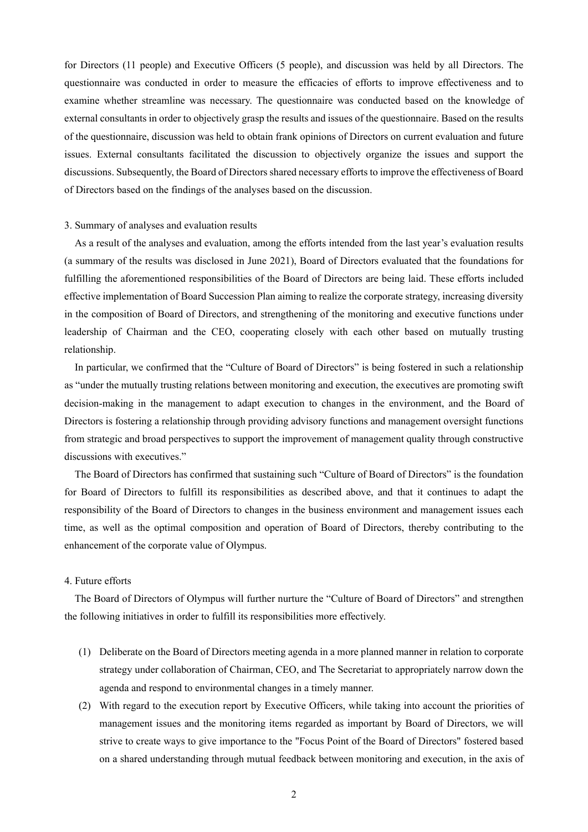for Directors (11 people) and Executive Officers (5 people), and discussion was held by all Directors. The questionnaire was conducted in order to measure the efficacies of efforts to improve effectiveness and to examine whether streamline was necessary. The questionnaire was conducted based on the knowledge of external consultants in order to objectively grasp the results and issues of the questionnaire. Based on the results of the questionnaire, discussion was held to obtain frank opinions of Directors on current evaluation and future issues. External consultants facilitated the discussion to objectively organize the issues and support the discussions. Subsequently, the Board of Directors shared necessary efforts to improve the effectiveness of Board of Directors based on the findings of the analyses based on the discussion.

#### 3. Summary of analyses and evaluation results

As a result of the analyses and evaluation, among the efforts intended from the last year's evaluation results (a summary of the results was disclosed in June 2021), Board of Directors evaluated that the foundations for fulfilling the aforementioned responsibilities of the Board of Directors are being laid. These efforts included effective implementation of Board Succession Plan aiming to realize the corporate strategy, increasing diversity in the composition of Board of Directors, and strengthening of the monitoring and executive functions under leadership of Chairman and the CEO, cooperating closely with each other based on mutually trusting relationship.

In particular, we confirmed that the "Culture of Board of Directors" is being fostered in such a relationship as "under the mutually trusting relations between monitoring and execution, the executives are promoting swift decision-making in the management to adapt execution to changes in the environment, and the Board of Directors is fostering a relationship through providing advisory functions and management oversight functions from strategic and broad perspectives to support the improvement of management quality through constructive discussions with executives."

The Board of Directors has confirmed that sustaining such "Culture of Board of Directors" is the foundation for Board of Directors to fulfill its responsibilities as described above, and that it continues to adapt the responsibility of the Board of Directors to changes in the business environment and management issues each time, as well as the optimal composition and operation of Board of Directors, thereby contributing to the enhancement of the corporate value of Olympus.

## 4. Future efforts

The Board of Directors of Olympus will further nurture the "Culture of Board of Directors" and strengthen the following initiatives in order to fulfill its responsibilities more effectively.

- (1) Deliberate on the Board of Directors meeting agenda in a more planned manner in relation to corporate strategy under collaboration of Chairman, CEO, and The Secretariat to appropriately narrow down the agenda and respond to environmental changes in a timely manner.
- (2) With regard to the execution report by Executive Officers, while taking into account the priorities of management issues and the monitoring items regarded as important by Board of Directors, we will strive to create ways to give importance to the "Focus Point of the Board of Directors" fostered based on a shared understanding through mutual feedback between monitoring and execution, in the axis of